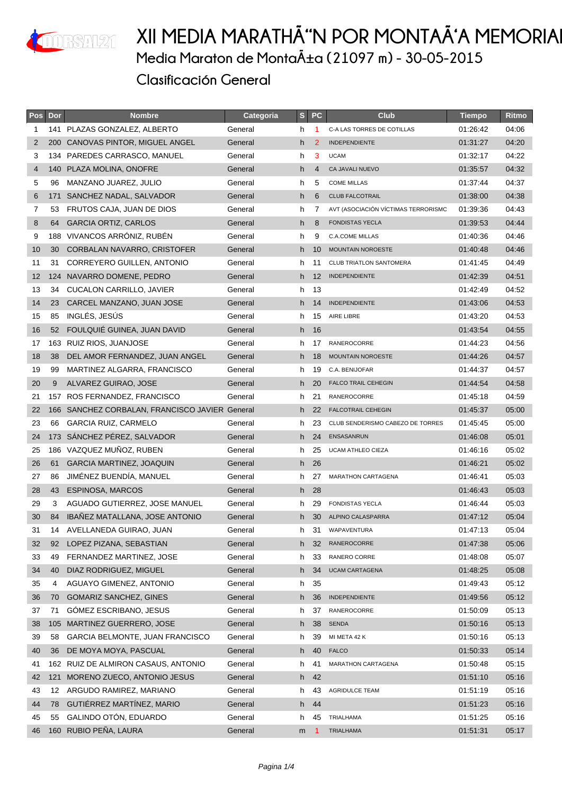

| Pos            | Dor | <b>Nombre</b>                                  | Categoria | S <sub>1</sub> | <b>PC</b>      | <b>Club</b>                         | <b>Tiempo</b> | Ritmo |
|----------------|-----|------------------------------------------------|-----------|----------------|----------------|-------------------------------------|---------------|-------|
| 1              |     | 141 PLAZAS GONZALEZ, ALBERTO                   | General   | h              | 1              | C-A LAS TORRES DE COTILLAS          | 01:26:42      | 04:06 |
| 2              | 200 | CANOVAS PINTOR, MIGUEL ANGEL                   | General   | h              | 2              | <b>INDEPENDIENTE</b>                | 01:31:27      | 04:20 |
| 3              |     | 134 PAREDES CARRASCO, MANUEL                   | General   | h              | 3              | <b>UCAM</b>                         | 01:32:17      | 04:22 |
| $\overline{4}$ | 140 | PLAZA MOLINA, ONOFRE                           | General   | h              | $\overline{4}$ | CA JAVALI NUEVO                     | 01:35:57      | 04:32 |
| 5              | 96  | MANZANO JUAREZ, JULIO                          | General   | h              | 5              | <b>COME MILLAS</b>                  | 01:37:44      | 04:37 |
| 6              | 171 | SANCHEZ NADAL, SALVADOR                        | General   | h              | 6              | <b>CLUB FALCOTRAIL</b>              | 01:38:00      | 04:38 |
| 7              | 53  | FRUTOS CAJA, JUAN DE DIOS                      | General   | h              | 7              | AVT (ASOCIACIÓN VÍCTIMAS TERRORISMO | 01:39:36      | 04:43 |
| 8              | 64  | <b>GARCIA ORTIZ, CARLOS</b>                    | General   | h              | 8              | <b>FONDISTAS YECLA</b>              | 01:39:53      | 04:44 |
| 9              | 188 | VIVANCOS ARRÓNIZ, RUBÉN                        | General   | h              | 9              | <b>C.A.COME MILLAS</b>              | 01:40:36      | 04:46 |
| 10             | 30  | CORBALAN NAVARRO, CRISTOFER                    | General   | h              | 10             | MOUNTAIN NOROESTE                   | 01:40:48      | 04:46 |
| 11             | 31  | CORREYERO GUILLEN, ANTONIO                     | General   | h              | 11             | <b>CLUB TRIATLON SANTOMERA</b>      | 01:41:45      | 04:49 |
| 12             | 124 | NAVARRO DOMENE, PEDRO                          | General   | h              | 12             | <b>INDEPENDIENTE</b>                | 01:42:39      | 04:51 |
| 13             | 34  | <b>CUCALON CARRILLO, JAVIER</b>                | General   | h              | 13             |                                     | 01:42:49      | 04:52 |
| 14             | 23  | CARCEL MANZANO, JUAN JOSE                      | General   | h.             | 14             | <b>INDEPENDIENTE</b>                | 01:43:06      | 04:53 |
| 15             | 85  | INGLÉS, JESÚS                                  | General   | h              | 15             | AIRE LIBRE                          | 01:43:20      | 04:53 |
| 16             | 52  | FOULQUIÉ GUINEA, JUAN DAVID                    | General   | h              | 16             |                                     | 01:43:54      | 04:55 |
| 17             |     | 163 RUIZ RIOS, JUANJOSE                        | General   | h.             | 17             | RANEROCORRE                         | 01:44:23      | 04:56 |
| 18             | 38  | DEL AMOR FERNANDEZ, JUAN ANGEL                 | General   | h.             | 18             | MOUNTAIN NOROESTE                   | 01:44:26      | 04:57 |
| 19             | 99  | MARTINEZ ALGARRA, FRANCISCO                    | General   | h              | 19             | C.A. BENIJOFAR                      | 01:44:37      | 04:57 |
| 20             | 9   | ALVAREZ GUIRAO, JOSE                           | General   | h              | 20             | <b>FALCO TRAIL CEHEGIN</b>          | 01:44:54      | 04:58 |
| 21             |     | 157 ROS FERNANDEZ, FRANCISCO                   | General   | h              | 21             | RANEROCORRE                         | 01:45:18      | 04:59 |
| 22             |     | 166 SANCHEZ CORBALAN, FRANCISCO JAVIER General |           | h.             | 22             | <b>FALCOTRAIL CEHEGIN</b>           | 01:45:37      | 05:00 |
| 23             | 66  | <b>GARCIA RUIZ, CARMELO</b>                    | General   | h              | 23             | CLUB SENDERISMO CABEZO DE TORRES    | 01:45:45      | 05:00 |
| 24             |     | 173 SÁNCHEZ PÉREZ, SALVADOR                    | General   | h              | 24             | ENSASANRUN                          | 01:46:08      | 05:01 |
| 25             |     | 186 VAZQUEZ MUÑOZ, RUBEN                       | General   | h              | 25             | <b>UCAM ATHLEO CIEZA</b>            | 01:46:16      | 05:02 |
| 26             | 61  | GARCIA MARTINEZ, JOAQUIN                       | General   | h              | 26             |                                     | 01:46:21      | 05:02 |
| 27             | 86  | JIMÉNEZ BUENDÍA, MANUEL                        | General   | h              | 27             | <b>MARATHON CARTAGENA</b>           | 01:46:41      | 05:03 |
| 28             | 43  | <b>ESPINOSA, MARCOS</b>                        | General   | h.             | 28             |                                     | 01:46:43      | 05:03 |
| 29             | 3   | AGUADO GUTIERREZ, JOSE MANUEL                  | General   | h              | 29             | <b>FONDISTAS YECLA</b>              | 01:46:44      | 05:03 |
| 30             | 84  | IBAÑEZ MATALLANA, JOSE ANTONIO                 | General   | h.             | 30             | ALPINO CALASPARRA                   | 01:47:12      | 05:04 |
| 31             |     | 14 AVELLANEDA GUIRAO, JUAN                     | General   | h              | 31             | WAPAVENTURA                         | 01:47:13      | 05:04 |
| 32             | 92  | LOPEZ PIZANA, SEBASTIAN                        | General   | h.             | 32             | RANEROCORRE                         | 01:47:38      | 05:06 |
| 33             | 49  | FERNANDEZ MARTINEZ, JOSE                       | General   | h              | 33             | RANERO CORRE                        | 01:48:08      | 05:07 |
| 34             | 40  | DIAZ RODRIGUEZ, MIGUEL                         | General   | h              | 34             | <b>UCAM CARTAGENA</b>               | 01:48:25      | 05:08 |
| 35             | 4   | AGUAYO GIMENEZ, ANTONIO                        | General   | h              | 35             |                                     | 01:49:43      | 05:12 |
| 36             | 70  | <b>GOMARIZ SANCHEZ, GINES</b>                  | General   | h.             | 36             | INDEPENDIENTE                       | 01:49:56      | 05:12 |
| 37             | 71  | GÓMEZ ESCRIBANO, JESUS                         | General   | h              | 37             | RANEROCORRE                         | 01:50:09      | 05:13 |
| 38             | 105 | MARTINEZ GUERRERO, JOSE                        | General   | h              | 38             | <b>SENDA</b>                        | 01:50:16      | 05:13 |
| 39             | 58  | GARCIA BELMONTE, JUAN FRANCISCO                | General   | h              | 39             | MI META 42 K                        | 01:50:16      | 05:13 |
| 40             | 36  | DE MOYA MOYA, PASCUAL                          | General   | h              | 40             | <b>FALCO</b>                        | 01:50:33      | 05:14 |
| 41             |     | 162 RUIZ DE ALMIRON CASAUS, ANTONIO            | General   | h              | 41             | MARATHON CARTAGENA                  | 01:50:48      | 05:15 |
| 42             | 121 | MORENO ZUECO, ANTONIO JESUS                    | General   | h              | 42             |                                     | 01:51:10      | 05:16 |
| 43             | 12  | ARGUDO RAMIREZ, MARIANO                        | General   | h              | 43             | <b>AGRIDULCE TEAM</b>               | 01:51:19      | 05:16 |
| 44             | 78  | GUTIÉRREZ MARTÍNEZ, MARIO                      | General   | h              | 44             |                                     | 01:51:23      | 05:16 |
| 45             | 55  | GALINDO OTÓN, EDUARDO                          | General   | h              | 45             | TRIALHAMA                           | 01:51:25      | 05:16 |
| 46             |     | 160 RUBIO PEÑA, LAURA                          | General   | m              | -1             | <b>TRIALHAMA</b>                    | 01:51:31      | 05:17 |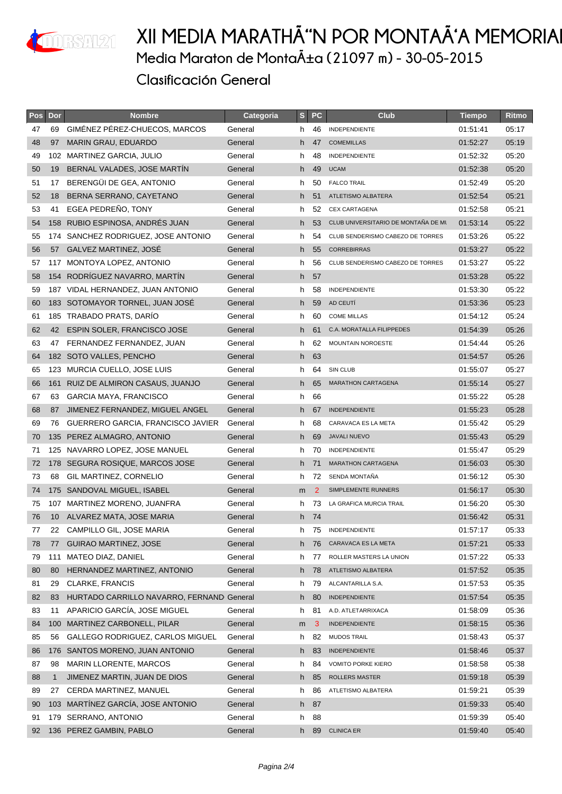

| Pos | Dor             | <b>Nombre</b>                             | Categoria | S  | <b>PC</b> | <b>Club</b>                         | <b>Tiempo</b> | Ritmo |
|-----|-----------------|-------------------------------------------|-----------|----|-----------|-------------------------------------|---------------|-------|
| 47  | 69              | GIMÉNEZ PÉREZ-CHUECOS, MARCOS             | General   | h. | 46        | INDEPENDIENTE                       | 01:51:41      | 05:17 |
| 48  | 97              | MARIN GRAU, EDUARDO                       | General   | h  | 47        | <b>COMEMILLAS</b>                   | 01:52:27      | 05:19 |
| 49  |                 | 102 MARTINEZ GARCIA, JULIO                | General   | h. | 48        | INDEPENDIENTE                       | 01:52:32      | 05:20 |
| 50  | 19              | BERNAL VALADES, JOSE MARTIN               | General   | h  | 49        | <b>UCAM</b>                         | 01:52:38      | 05:20 |
| 51  | 17              | BERENGÜI DE GEA, ANTONIO                  | General   | h  | 50        | <b>FALCO TRAIL</b>                  | 01:52:49      | 05:20 |
| 52  | 18              | BERNA SERRANO, CAYETANO                   | General   | h. | 51        | ATLETISMO ALBATERA                  | 01:52:54      | 05:21 |
| 53  | 41              | EGEA PEDREÑO, TONY                        | General   | h. | 52        | <b>CEX CARTAGENA</b>                | 01:52:58      | 05:21 |
| 54  | 158             | RUBIO ESPINOSA, ANDRÉS JUAN               | General   | h  | 53        | CLUB UNIVERSITARIO DE MONTAÑA DE MI | 01:53:14      | 05:22 |
| 55  |                 | 174 SANCHEZ RODRIGUEZ, JOSE ANTONIO       | General   | h  | 54        | CLUB SENDERISMO CABEZO DE TORRES    | 01:53:26      | 05:22 |
| 56  | 57              | GALVEZ MARTINEZ, JOSÉ                     | General   | h  | 55        | <b>CORREBIRRAS</b>                  | 01:53:27      | 05:22 |
| 57  |                 | 117 MONTOYA LOPEZ, ANTONIO                | General   | h  | 56        | CLUB SENDERISMO CABEZO DE TORRES    | 01:53:27      | 05:22 |
| 58  |                 | 154 RODRIGUEZ NAVARRO, MARTIN             | General   | h  | 57        |                                     | 01:53:28      | 05:22 |
| 59  |                 | 187 VIDAL HERNANDEZ, JUAN ANTONIO         | General   | h  | 58        | INDEPENDIENTE                       | 01:53:30      | 05:22 |
| 60  |                 | 183 SOTOMAYOR TORNEL, JUAN JOSÉ           | General   | h. | 59        | AD CEUTÍ                            | 01:53:36      | 05:23 |
| 61  | 185             | TRABADO PRATS, DARÍO                      | General   | h  | 60        | <b>COME MILLAS</b>                  | 01:54:12      | 05:24 |
| 62  | 42              | <b>ESPIN SOLER, FRANCISCO JOSE</b>        | General   | h. | 61        | C.A. MORATALLA FILIPPEDES           | 01:54:39      | 05:26 |
| 63  | 47              | FERNANDEZ FERNANDEZ, JUAN                 | General   | h  | 62        | MOUNTAIN NOROESTE                   | 01:54:44      | 05:26 |
| 64  |                 | 182 SOTO VALLES, PENCHO                   | General   | h  | 63        |                                     | 01:54:57      | 05:26 |
| 65  |                 | 123 MURCIA CUELLO, JOSE LUIS              | General   | h  | 64        | SIN CLUB                            | 01:55:07      | 05:27 |
| 66  |                 | 161 RUIZ DE ALMIRON CASAUS, JUANJO        | General   | h. | 65        | <b>MARATHON CARTAGENA</b>           | 01:55:14      | 05:27 |
| 67  | 63              | GARCIA MAYA, FRANCISCO                    | General   | h  | 66        |                                     | 01:55:22      | 05:28 |
| 68  | 87              | JIMENEZ FERNANDEZ, MIGUEL ANGEL           | General   | h  | 67        | <b>INDEPENDIENTE</b>                | 01:55:23      | 05:28 |
| 69  | 76              | GUERRERO GARCIA, FRANCISCO JAVIER         | General   | h  | 68        | CARAVACA ES LA META                 | 01:55:42      | 05:29 |
| 70  |                 | 135 PEREZ ALMAGRO, ANTONIO                | General   | h  | 69        | <b>JAVALI NUEVO</b>                 | 01:55:43      | 05:29 |
| 71  |                 | 125 NAVARRO LOPEZ, JOSE MANUEL            | General   | h  | 70        | INDEPENDIENTE                       | 01:55:47      | 05:29 |
| 72  |                 | 178 SEGURA ROSIQUE, MARCOS JOSE           | General   | h  | 71        | <b>MARATHON CARTAGENA</b>           | 01:56:03      | 05:30 |
| 73  | 68              | GIL MARTINEZ, CORNELIO                    | General   | h  | 72        | SENDA MONTAÑA                       | 01:56:12      | 05:30 |
| 74  |                 | 175 SANDOVAL MIGUEL, ISABEL               | General   | m  | 2         | SIMPLEMENTE RUNNERS                 | 01:56:17      | 05:30 |
| 75  | 107             | MARTINEZ MORENO, JUANFRA                  | General   | h  | 73        | LA GRAFICA MURCIA TRAIL             | 01:56:20      | 05:30 |
| 76  | 10 <sup>°</sup> | ALVAREZ MATA, JOSE MARIA                  | General   |    | h 74      |                                     | 01:56:42      | 05:31 |
| 77  |                 | 22 CAMPILLO GIL, JOSE MARIA               | General   |    |           | h 75 INDEPENDIENTE                  | 01:57:17      | 05:33 |
| 78  | 77              | <b>GUIRAO MARTINEZ, JOSE</b>              | General   | h. | 76        | CARAVACA ES LA META                 | 01:57:21      | 05:33 |
| 79  | 111             | MATEO DIAZ, DANIEL                        | General   | h  | 77        | ROLLER MASTERS LA UNION             | 01:57:22      | 05:33 |
| 80  | 80              | HERNANDEZ MARTINEZ, ANTONIO               | General   | h  | 78        | ATLETISMO ALBATERA                  | 01:57:52      | 05:35 |
| 81  | 29              | CLARKE, FRANCIS                           | General   | h  | 79        | ALCANTARILLA S.A.                   | 01:57:53      | 05:35 |
| 82  | 83              | HURTADO CARRILLO NAVARRO, FERNAND General |           | h  | 80        | <b>INDEPENDIENTE</b>                | 01:57:54      | 05:35 |
| 83  | 11              | APARICIO GARCÍA, JOSE MIGUEL              | General   | h  | 81        | A.D. ATLETARRIXACA                  | 01:58:09      | 05:36 |
| 84  | 100             | MARTINEZ CARBONELL, PILAR                 | General   | m  | 3         | <b>INDEPENDIENTE</b>                | 01:58:15      | 05:36 |
| 85  | 56              | GALLEGO RODRIGUEZ, CARLOS MIGUEL          | General   | h  | 82        | <b>MUDOS TRAIL</b>                  | 01:58:43      | 05:37 |
| 86  | 176             | SANTOS MORENO, JUAN ANTONIO               | General   | h  | 83        | <b>INDEPENDIENTE</b>                | 01:58:46      | 05:37 |
| 87  | 98              | <b>MARIN LLORENTE, MARCOS</b>             | General   | h  | 84        | <b>VOMITO PORKE KIERO</b>           | 01:58:58      | 05:38 |
| 88  | $\mathbf{1}$    | JIMENEZ MARTIN, JUAN DE DIOS              | General   | h. | 85        | <b>ROLLERS MASTER</b>               | 01:59:18      | 05:39 |
| 89  | 27              | CERDA MARTINEZ, MANUEL                    | General   | h  | 86        | ATLETISMO ALBATERA                  | 01:59:21      | 05:39 |
| 90  | 103             | MARTÍNEZ GARCÍA, JOSE ANTONIO             | General   | h  | 87        |                                     | 01:59:33      | 05:40 |
| 91  | 179             | SERRANO, ANTONIO                          | General   | h  | 88        |                                     | 01:59:39      | 05:40 |
| 92  |                 | 136 PEREZ GAMBIN, PABLO                   | General   | h. | 89        | <b>CLINICA ER</b>                   | 01:59:40      | 05:40 |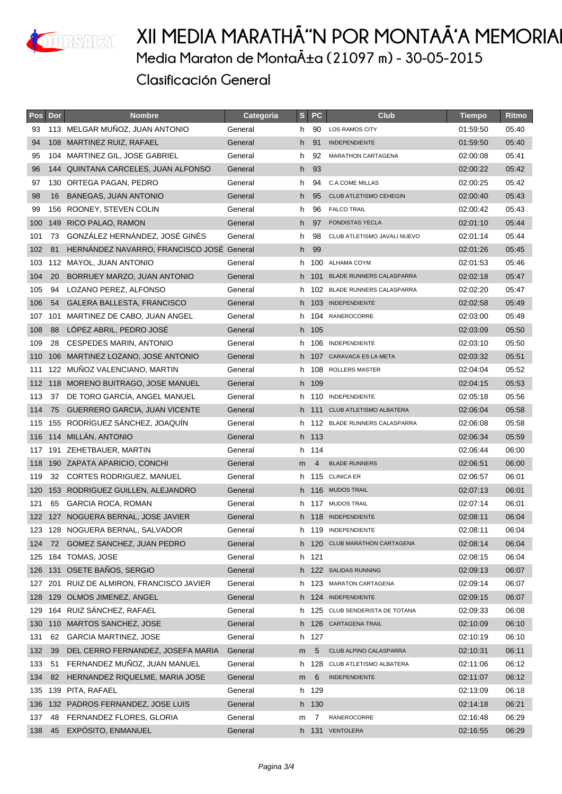

| <b>Pos</b> | Dor | <b>Nombre</b>                             | Categoria | S  | <b>PC</b> | Club                            | <b>Tiempo</b> | Ritmo |
|------------|-----|-------------------------------------------|-----------|----|-----------|---------------------------------|---------------|-------|
| 93         |     | 113 MELGAR MUÑOZ, JUAN ANTONIO            | General   | h  | 90        | <b>LOS RAMOS CITY</b>           | 01:59:50      | 05:40 |
| 94         |     | 108 MARTINEZ RUIZ, RAFAEL                 | General   | h  | 91        | <b>INDEPENDIENTE</b>            | 01:59:50      | 05:40 |
| 95         |     | 104 MARTINEZ GIL, JOSE GABRIEL            | General   | h  | 92        | <b>MARATHON CARTAGENA</b>       | 02:00:08      | 05:41 |
| 96         |     | 144 QUINTANA CARCELES, JUAN ALFONSO       | General   | h  | 93        |                                 | 02:00:22      | 05:42 |
| 97         |     | 130 ORTEGA PAGAN, PEDRO                   | General   | h  | 94        | C.A.COME MILLAS                 | 02:00:25      | 05:42 |
| 98         | 16  | <b>BANEGAS, JUAN ANTONIO</b>              | General   | h. | 95        | CLUB ATLETISMO CEHEGIN          | 02:00:40      | 05:43 |
| 99         |     | 156 ROONEY, STEVEN COLIN                  | General   | h  | 96        | <b>FALCO TRAIL</b>              | 02:00:42      | 05:43 |
| 100        | 149 | RICO PALAO, RAMON                         | General   | h  | 97        | <b>FONDISTAS YECLA</b>          | 02:01:10      | 05:44 |
| 101        | 73  | GONZÁLEZ HERNÁNDEZ, JOSÉ GINÉS            | General   | h  | 98        | CLUB ATLETISMO JAVALI NUEVO     | 02:01:14      | 05:44 |
| 102        | 81  | HERNANDEZ NAVARRO, FRANCISCO JOSÉ General |           | h  | 99        |                                 | 02:01:26      | 05:45 |
| 103        |     | 112 MAYOL, JUAN ANTONIO                   | General   | h  | 100       | ALHAMA COYM                     | 02:01:53      | 05:46 |
| 104        | 20  | BORRUEY MARZO, JUAN ANTONIO               | General   | h. | - 101     | <b>BLADE RUNNERS CALASPARRA</b> | 02:02:18      | 05:47 |
| 105        | 94  | LOZANO PEREZ, ALFONSO                     | General   | h  |           | 102 BLADE RUNNERS CALASPARRA    | 02:02:20      | 05:47 |
| 106        | 54  | GALERA BALLESTA, FRANCISCO                | General   |    |           | h 103 INDEPENDIENTE             | 02:02:58      | 05:49 |
| 107        | 101 | MARTINEZ DE CABO, JUAN ANGEL              | General   | h  | 104       | RANEROCORRE                     | 02:03:00      | 05:49 |
| 108        | 88  | LOPEZ ABRIL, PEDRO JOSÉ                   | General   |    | h 105     |                                 | 02:03:09      | 05:50 |
| 109        | 28  | CESPEDES MARIN, ANTONIO                   | General   |    | h 106     | INDEPENDIENTE                   | 02:03:10      | 05:50 |
| 110        |     | 106 MARTINEZ LOZANO, JOSE ANTONIO         | General   | h. |           | 107 CARAVACA ES LA META         | 02:03:32      | 05:51 |
| 111        |     | 122 MUÑOZ VALENCIANO, MARTIN              | General   | h  | 108       | <b>ROLLERS MASTER</b>           | 02:04:04      | 05:52 |
| 112        |     | 118 MORENO BUITRAGO, JOSE MANUEL          | General   |    | h 109     |                                 | 02:04:15      | 05:53 |
| 113        | 37  | DE TORO GARCÍA, ANGEL MANUEL              | General   | h  | -110      | <b>INDEPENDIENTE</b>            | 02:05:18      | 05:56 |
| 114        | 75  | <b>GUERRERO GARCIA, JUAN VICENTE</b>      | General   | h. | - 111     | <b>CLUB ATLETISMO ALBATERA</b>  | 02:06:04      | 05:58 |
| 115        |     | 155 RODRÍGUEZ SÁNCHEZ, JOAQUÍN            | General   |    |           | h 112 BLADE RUNNERS CALASPARRA  | 02:06:08      | 05:58 |
| 116        |     | 114 MILLÁN, ANTONIO                       | General   |    | h 113     |                                 | 02:06:34      | 05:59 |
| 117        |     | 191 ZEHETBAUER, MARTIN                    | General   |    | h 114     |                                 | 02:06:44      | 06:00 |
| 118        |     | 190 ZAPATA APARICIO, CONCHI               | General   | m  | 4         | <b>BLADE RUNNERS</b>            | 02:06:51      | 06:00 |
| 119        | 32  | CORTES RODRIGUEZ, MANUEL                  | General   | h. |           | 115 CLINICA ER                  | 02:06:57      | 06:01 |
| 120        |     | 153 RODRIGUEZ GUILLEN, ALEJANDRO          | General   |    |           | h 116 MUDOS TRAIL               | 02:07:13      | 06:01 |
| 121        | 65  | GARCIA ROCA, ROMAN                        | General   | h  | -117      | <b>MUDOS TRAIL</b>              | 02:07:14      | 06:01 |
|            |     | 122 127 NOGUERA BERNAL, JOSE JAVIER       | General   |    |           | h 118 INDEPENDIENTE             | 02:08:11      | 06:04 |
|            |     | 123 128 NOGUERA BERNAL, SALVADOR          | General   |    |           | h 119 INDEPENDIENTE             | 02:08:11      | 06:04 |
| 124        |     | 72 GOMEZ SANCHEZ, JUAN PEDRO              | General   |    |           | h 120 CLUB MARATHON CARTAGENA   | 02:08:14      | 06:04 |
| 125        |     | 184 TOMAS, JOSE                           | General   |    | h 121     |                                 | 02:08:15      | 06:04 |
| 126        |     | 131 OSETE BAÑOS, SERGIO                   | General   |    |           | h 122 SALIDAS RUNNING           | 02:09:13      | 06:07 |
|            |     | 127 201 RUIZ DE ALMIRON, FRANCISCO JAVIER | General   | h. |           | 123 MARATON CARTAGENA           | 02:09:14      | 06:07 |
| 128        |     | 129 OLMOS JIMENEZ, ANGEL                  | General   |    |           | h 124 INDEPENDIENTE             | 02:09:15      | 06:07 |
| 129        |     | 164 RUIZ SÁNCHEZ, RAFAEL                  | General   | h  | 125       | CLUB SENDERISTA DE TOTANA       | 02:09:33      | 06:08 |
| 130        |     | 110 MARTOS SANCHEZ, JOSE                  | General   |    |           | h 126 CARTAGENA TRAIL           | 02:10:09      | 06:10 |
| 131        | 62  | <b>GARCIA MARTINEZ, JOSE</b>              | General   |    | h 127     |                                 | 02:10:19      | 06:10 |
| 132        | 39  | DEL CERRO FERNANDEZ, JOSEFA MARIA         | General   | m  | 5         | CLUB ALPINO CALASPARRA          | 02:10:31      | 06:11 |
| 133        | 51  | FERNANDEZ MUÑOZ, JUAN MANUEL              | General   | h  | 128       | CLUB ATLETISMO ALBATERA         | 02:11:06      | 06:12 |
| 134        | 82  | HERNANDEZ RIQUELME, MARIA JOSE            | General   | m  | 6         | <b>INDEPENDIENTE</b>            | 02:11:07      | 06:12 |
| 135        |     | 139 PITA, RAFAEL                          | General   |    | h 129     |                                 | 02:13:09      | 06:18 |
| 136        |     | 132 PADROS FERNANDEZ, JOSE LUIS           | General   |    | h 130     |                                 | 02:14:18      | 06:21 |
| 137        | 48  | FERNANDEZ FLORES, GLORIA                  | General   | m  | 7         | RANEROCORRE                     | 02:16:48      | 06:29 |
| 138        | 45  | EXPÓSITO, ENMANUEL                        | General   |    |           | h 131 VENTOLERA                 | 02:16:55      | 06:29 |